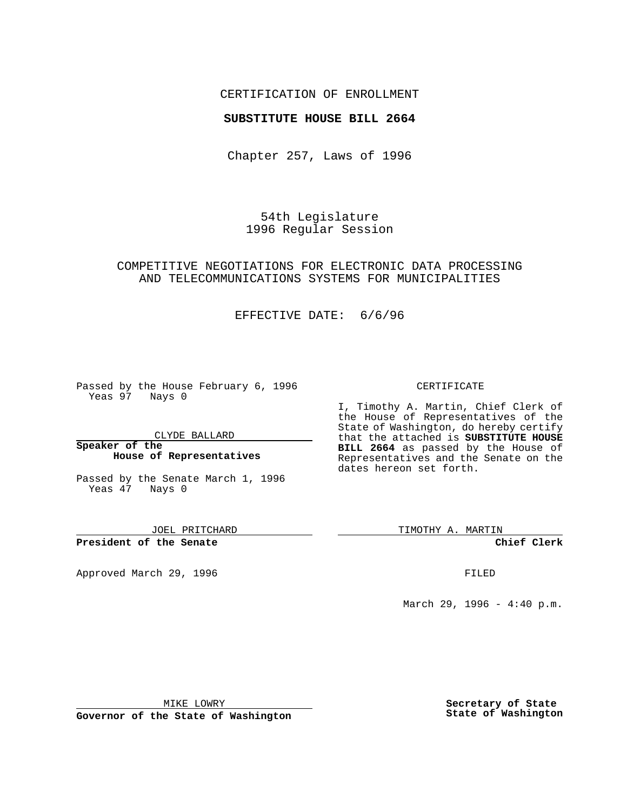# CERTIFICATION OF ENROLLMENT

### **SUBSTITUTE HOUSE BILL 2664**

Chapter 257, Laws of 1996

54th Legislature 1996 Regular Session

# COMPETITIVE NEGOTIATIONS FOR ELECTRONIC DATA PROCESSING AND TELECOMMUNICATIONS SYSTEMS FOR MUNICIPALITIES

### EFFECTIVE DATE: 6/6/96

Passed by the House February 6, 1996 Yeas 97 Nays 0

CLYDE BALLARD

#### **Speaker of the House of Representatives**

Passed by the Senate March 1, 1996 Yeas 47 Nays 0

JOEL PRITCHARD

**President of the Senate**

Approved March 29, 1996 **FILED** 

### CERTIFICATE

I, Timothy A. Martin, Chief Clerk of the House of Representatives of the State of Washington, do hereby certify that the attached is **SUBSTITUTE HOUSE BILL 2664** as passed by the House of Representatives and the Senate on the dates hereon set forth.

TIMOTHY A. MARTIN

**Chief Clerk**

March 29, 1996 - 4:40 p.m.

MIKE LOWRY

**Governor of the State of Washington**

**Secretary of State State of Washington**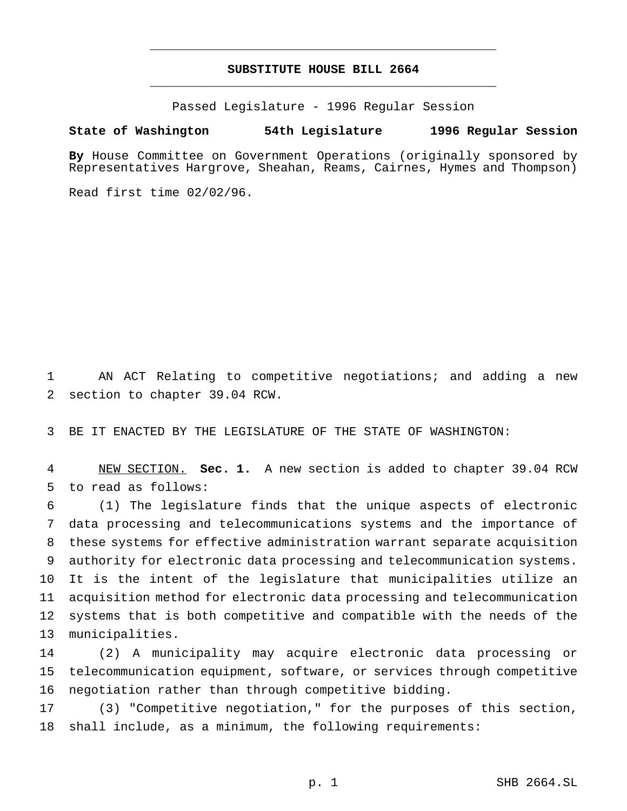# **SUBSTITUTE HOUSE BILL 2664** \_\_\_\_\_\_\_\_\_\_\_\_\_\_\_\_\_\_\_\_\_\_\_\_\_\_\_\_\_\_\_\_\_\_\_\_\_\_\_\_\_\_\_\_\_\_\_

\_\_\_\_\_\_\_\_\_\_\_\_\_\_\_\_\_\_\_\_\_\_\_\_\_\_\_\_\_\_\_\_\_\_\_\_\_\_\_\_\_\_\_\_\_\_\_

Passed Legislature - 1996 Regular Session

#### **State of Washington 54th Legislature 1996 Regular Session**

**By** House Committee on Government Operations (originally sponsored by Representatives Hargrove, Sheahan, Reams, Cairnes, Hymes and Thompson)

Read first time 02/02/96.

 AN ACT Relating to competitive negotiations; and adding a new section to chapter 39.04 RCW.

BE IT ENACTED BY THE LEGISLATURE OF THE STATE OF WASHINGTON:

 NEW SECTION. **Sec. 1.** A new section is added to chapter 39.04 RCW to read as follows:

 (1) The legislature finds that the unique aspects of electronic data processing and telecommunications systems and the importance of these systems for effective administration warrant separate acquisition authority for electronic data processing and telecommunication systems. It is the intent of the legislature that municipalities utilize an acquisition method for electronic data processing and telecommunication systems that is both competitive and compatible with the needs of the municipalities.

 (2) A municipality may acquire electronic data processing or telecommunication equipment, software, or services through competitive negotiation rather than through competitive bidding.

 (3) "Competitive negotiation," for the purposes of this section, shall include, as a minimum, the following requirements: